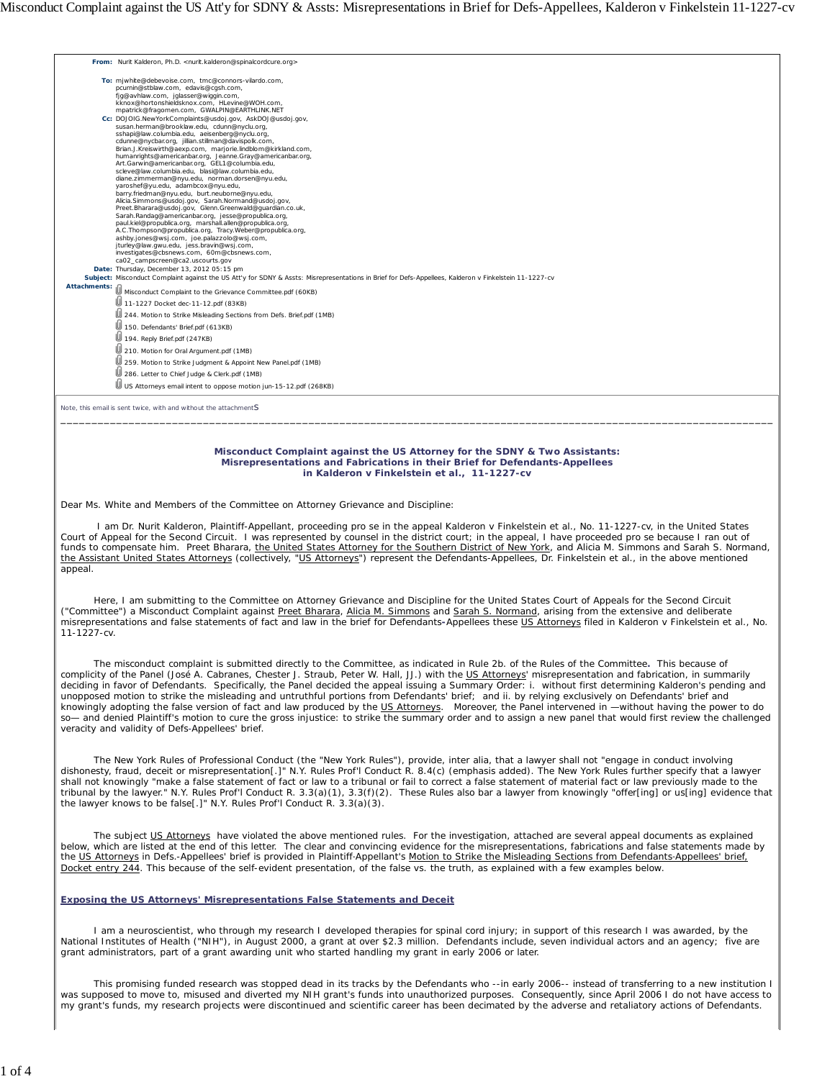|              | From: Nurit Kalderon, Ph.D. < nurit.kalderon@spinalcordcure.org>                                                                                                                                                                                                                                                                                                                                                                                                                                                                                                                                                                                                                                                                                                                                                                                                                                                                                                                                                                                                              |
|--------------|-------------------------------------------------------------------------------------------------------------------------------------------------------------------------------------------------------------------------------------------------------------------------------------------------------------------------------------------------------------------------------------------------------------------------------------------------------------------------------------------------------------------------------------------------------------------------------------------------------------------------------------------------------------------------------------------------------------------------------------------------------------------------------------------------------------------------------------------------------------------------------------------------------------------------------------------------------------------------------------------------------------------------------------------------------------------------------|
|              | To: mjwhite@debevoise.com, tmc@connors-vilardo.com,<br>pcurnin@stblaw.com, edavis@cqsh.com,<br>fjg@avhlaw.com, jglasser@wiggin.com,<br>kknox@hortonshieldsknox.com. HLevine@WOH.com.<br>mpatrick@fragomen.com, GWALPIN@EARTHLINK.NET                                                                                                                                                                                                                                                                                                                                                                                                                                                                                                                                                                                                                                                                                                                                                                                                                                          |
|              | Cc: DOJOIG.NewYorkComplaints@usdoj.gov, AskDOJ@usdoj.gov,<br>susan.herman@brooklaw.edu, cdunn@nyclu.org,<br>sshapi@law.columbia.edu, aeisenberg@nyclu.org,<br>cdunne@nycbar.org, jillian.stillman@davispolk.com,<br>Brian.J.Kreiswirth@aexp.com, marjorie.lindblom@kirkland.com,<br>humanrights@americanbar.org, Jeanne.Gray@americanbar.org,<br>Art.Garwin@americanbar.org, GEL1@columbia.edu,<br>scleve@law.columbia.edu, blasi@law.columbia.edu,<br>diane.zimmerman@nyu.edu, norman.dorsen@nyu.edu,<br>yaroshef@yu.edu, adambcox@nyu.edu,<br>barry.friedman@nyu.edu, burt.neuborne@nyu.edu,<br>Alicia.Simmons@usdoj.gov, Sarah.Normand@usdoj.gov,<br>Preet.Bharara@usdoj.gov, Glenn.Greenwald@quardian.co.uk,<br>Sarah.Randaq@americanbar.org, jesse@propublica.org,<br>paul.kiel@propublica.org, marshall.allen@propublica.org,<br>A.C.Thompson@propublica.org, Tracy.Weber@propublica.org,<br>ashby.jones@wsj.com, joe.palazzolo@wsj.com,<br>jturley@law.qwu.edu, jess.bravin@wsj.com,<br>investigates@cbsnews.com, 60m@cbsnews.com,<br>ca02_campscreen@ca2.uscourts.gov |
|              | Date: Thursday, December 13, 2012 05:15 pm                                                                                                                                                                                                                                                                                                                                                                                                                                                                                                                                                                                                                                                                                                                                                                                                                                                                                                                                                                                                                                    |
|              | Subject: Misconduct Complaint against the US Att'y for SDNY & Assts: Misrepresentations in Brief for Defs-Appellees, Kalderon v Finkelstein 11-1227-cv                                                                                                                                                                                                                                                                                                                                                                                                                                                                                                                                                                                                                                                                                                                                                                                                                                                                                                                        |
| Attachments: | Misconduct Complaint to the Grievance Committee.pdf (60KB)                                                                                                                                                                                                                                                                                                                                                                                                                                                                                                                                                                                                                                                                                                                                                                                                                                                                                                                                                                                                                    |
|              | 11-1227 Docket dec-11-12.pdf (83KB)                                                                                                                                                                                                                                                                                                                                                                                                                                                                                                                                                                                                                                                                                                                                                                                                                                                                                                                                                                                                                                           |
|              | 244. Motion to Strike Misleading Sections from Defs. Brief.pdf (1MB)                                                                                                                                                                                                                                                                                                                                                                                                                                                                                                                                                                                                                                                                                                                                                                                                                                                                                                                                                                                                          |
|              | 150. Defendants' Brief.pdf (613KB)                                                                                                                                                                                                                                                                                                                                                                                                                                                                                                                                                                                                                                                                                                                                                                                                                                                                                                                                                                                                                                            |
|              | 194. Reply Brief.pdf (247KB)                                                                                                                                                                                                                                                                                                                                                                                                                                                                                                                                                                                                                                                                                                                                                                                                                                                                                                                                                                                                                                                  |
|              | 210. Motion for Oral Argument.pdf (1MB)                                                                                                                                                                                                                                                                                                                                                                                                                                                                                                                                                                                                                                                                                                                                                                                                                                                                                                                                                                                                                                       |
|              | 259. Motion to Strike Judgment & Appoint New Panel.pdf (1MB)                                                                                                                                                                                                                                                                                                                                                                                                                                                                                                                                                                                                                                                                                                                                                                                                                                                                                                                                                                                                                  |
|              | 286. Letter to Chief Judge & Clerk.pdf (1MB)                                                                                                                                                                                                                                                                                                                                                                                                                                                                                                                                                                                                                                                                                                                                                                                                                                                                                                                                                                                                                                  |
|              | US Attorneys email intent to oppose motion jun-15-12.pdf (268KB)                                                                                                                                                                                                                                                                                                                                                                                                                                                                                                                                                                                                                                                                                                                                                                                                                                                                                                                                                                                                              |
|              |                                                                                                                                                                                                                                                                                                                                                                                                                                                                                                                                                                                                                                                                                                                                                                                                                                                                                                                                                                                                                                                                               |
|              | Note, this email is sent twice, with and without the attachmentS                                                                                                                                                                                                                                                                                                                                                                                                                                                                                                                                                                                                                                                                                                                                                                                                                                                                                                                                                                                                              |

### **Misconduct Complaint against the US Attorney for the SDNY & Two Assistants: Misrepresentations and Fabrications in their Brief for Defendants-Appellees in** *Kalderon v Finkelstein et al.***, 11-1227-cv**

\_\_\_\_\_\_\_\_\_\_\_\_\_\_\_\_\_\_\_\_\_\_\_\_\_\_\_\_\_\_\_\_\_\_\_\_\_\_\_\_\_\_\_\_\_\_\_\_\_\_\_\_\_\_\_\_\_\_\_\_\_\_\_\_\_\_\_\_\_\_\_\_\_\_\_\_\_\_\_\_\_\_\_\_\_\_\_\_\_\_\_\_\_\_\_\_\_\_\_\_\_\_\_\_\_\_\_\_\_\_\_\_\_\_\_

Dear Ms. White and Members of the Committee on Attorney Grievance and Discipline:

 I am Dr. Nurit Kalderon, Plaintiff-Appellant, proceeding *pro se* in the appeal *Kalderon v Finkelstein et al.*, No. 11-1227-cv, in the United States Court of Appeal for the Second Circuit. I was represented by counsel in the district court; in the appeal, I have proceeded *pro se* because I ran out of funds to compensate him. Preet Bharara, the United States Attorney for the Southern District of New York, and Alicia M. Simmons and Sarah S. Normand, the Assistant United States Attorneys (collectively, "US Attorneys") represent the Defendants-Appellees, Dr. Finkelstein *et al.*, in the above mentioned appeal.

 Here, I am submitting to the Committee on Attorney Grievance and Discipline for the United States Court of Appeals for the Second Circuit ("Committee") a Misconduct Complaint against Preet Bharara, Alicia M. Simmons and Sarah S. Normand, arising from the extensive and deliberate misrepresentations and false statements of fact and law in the brief for Defendants**-**Appellees these US Attorneys filed in *Kalderon v Finkelstein et al.*, No. 11-1227-cv.

 The misconduct complaint is submitted directly to the Committee, as indicated in Rule 2b. of the Rules of the Committee**.** This because of complicity of the Panel (José A. Cabranes, Chester J. Straub, Peter W. Hall, JJ.) with the US Attorneys' misrepresentation and fabrication, in summarily deciding in favor of Defendants. Specifically, the Panel decided the appeal issuing a Summary Order: i. without first determining Kalderon's pending and unopposed motion to strike the misleading and untruthful portions from Defendants' brief; and ii. by relying exclusively on Defendants' brief and knowingly adopting the false version of fact and law produced by the <u>US Attorneys</u>. Moreover, the Panel intervened in —without having the power to do<br>so— and denied Plaintiff's motion to cure the gross injustice: to strik veracity and validity of Defs‑Appellees' brief.

 The New York Rules of Professional Conduct (the "New York Rules"), provide, inter alia, that a lawyer shall not "engage in conduct involving dishonesty, fraud, deceit or *misrepresentation*[.]" N.Y. Rules Prof'l Conduct R. 8.4(c) (emphasis added). The New York Rules further specify that a lawyer shall not knowingly "make a false statement of fact or law to a tribunal or fail to correct a false statement of material fact or law previously made to the tribunal by the lawyer." N.Y. Rules Prof'l Conduct R. 3.3(a)(1), 3.3(f)(2). These Rules also bar a lawyer from knowingly "offer[ing] or us[ing] evidence that the lawyer knows to be false[.]" N.Y. Rules Prof'l Conduct R. 3.3(a)(3).

The subject US Attorneys have violated the above mentioned rules. For the investigation, attached are several appeal documents as explained below, which are listed at the end of this letter. The clear and convincing evidence for the misrepresentations, fabrications and false statements made by the US Attorneys in Defs.-Appellees' brief is provided in Plaintiff-Appellant's Motion to Strike the Misleading Sections from Defendants-Appellees' brief, Docket entry 244. This because of the self-evident presentation, of the false *vs*. the truth, as explained with a few examples below.

## **Exposing the US Attorneys' Misrepresentations False Statements and Deceit**

 I am a neuroscientist, who through my research I developed therapies for spinal cord injury; in support of this research I was awarded, by the National Institutes of Health ("NIH"), in August 2000, a grant at over \$2.3 million. Defendants include, seven individual actors and an agency; five are grant administrators, part of a grant awarding unit who started handling my grant in early 2006 or later.

 This promising funded research was stopped dead in its tracks by the Defendants who --in early 2006-- instead of transferring to a new institution I was supposed to move to, misused and diverted my NIH grant's funds into unauthorized purposes. Consequently, since April 2006 I do not have access to my grant's funds, my research projects were discontinued and scientific career has been decimated by the adverse and retaliatory actions of Defendants.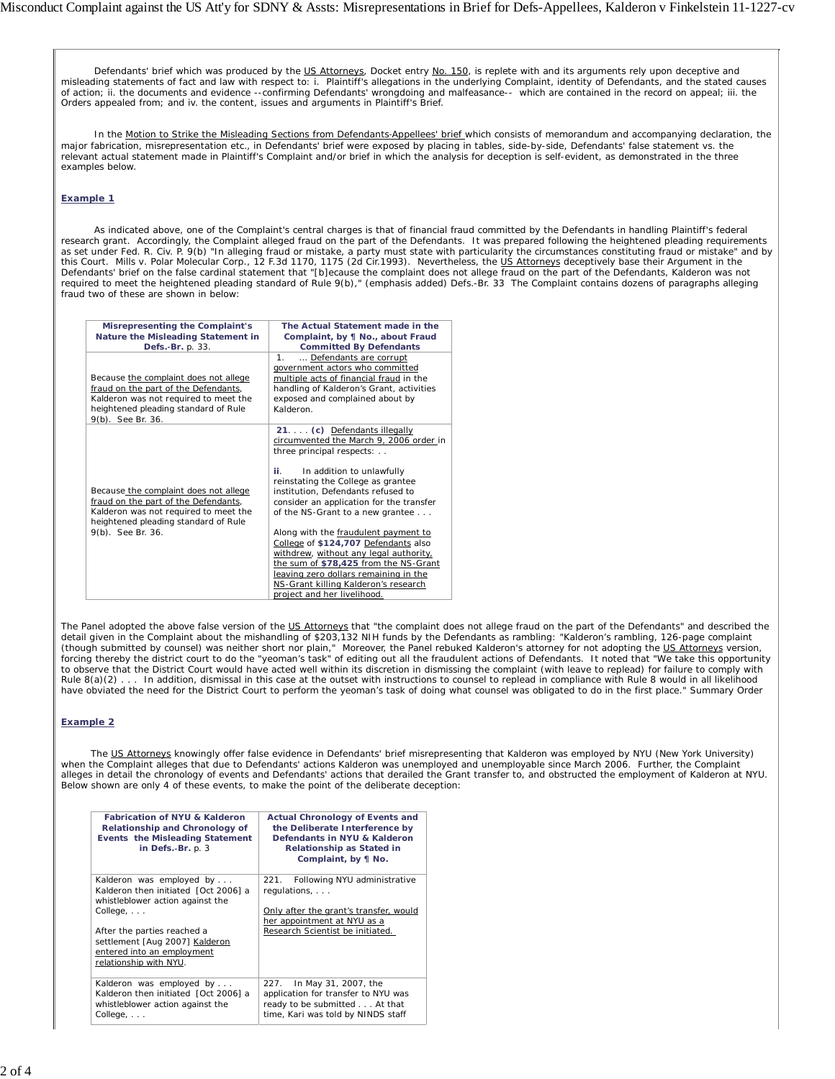Defendants' brief which was produced by the US Attorneys, Docket entry No. 150, is replete with and its arguments rely upon deceptive and<br>misleading statements of fact and law with respect to: i. Plaintiff's allegations in of action; ii. the documents and evidence --confirming Defendants' wrongdoing and malfeasance-- which are contained in the record on appeal; iii. the Orders appealed from; and iv. the content, issues and arguments in Plaintiff's Brief.

In the Motion to Strike the Misleading Sections from Defendants-Appellees' brief which consists of memorandum and accompanying declaration, the major fabrication, misrepresentation etc., in Defendants' brief were exposed by placing in tables, side-by-side, Defendants' false statement vs. the relevant actual statement made in Plaintiff's Complaint and/or brief in which the analysis for deception is self-evident, as demonstrated in the three examples below.

## *Example 1*

 As indicated above, one of the Complaint's central charges is that of financial fraud committed by the Defendants in handling Plaintiff's federal research grant. Accordingly, the Complaint alleged fraud on the part of the Defendants. It was prepared following the heightened pleading requirements as set under Fed. R. Civ. P. 9(b) "*In alleging fraud* or mistake, *a party must state with particularity the circumstances constituting fraud* or mistake" and by this Court. *Mills v. Polar Molecular Corp.,* 12 F.3d 1170, 1175 (2d Cir.1993). Nevertheless, the US Attorneys deceptively base their Argument in the Defendants' brief on the false cardinal statement that *"*[*b*]*ecause the complaint does not allege fraud on the part of the Defendants*, Kalderon was *not required to meet* the heightened pleading standard of *Rule 9(b)*," (emphasis added) Defs.-Br. 33 The Complaint contains dozens of paragraphs alleging fraud two of these are shown in below:

| Misrepresenting the Complaint's<br>Nature the Misleading Statement in<br>Defs.-Br. p. 33.                                                                                           | The Actual Statement made in the<br>Complaint, by ¶ No., about Fraud<br><b>Committed By Defendants</b>                                                                                                                                                                                                                                                                                                                                                                                                                                                                                  |
|-------------------------------------------------------------------------------------------------------------------------------------------------------------------------------------|-----------------------------------------------------------------------------------------------------------------------------------------------------------------------------------------------------------------------------------------------------------------------------------------------------------------------------------------------------------------------------------------------------------------------------------------------------------------------------------------------------------------------------------------------------------------------------------------|
| Because the complaint does not allege<br>fraud on the part of the Defendants,<br>Kalderon was not required to meet the<br>heightened pleading standard of Rule<br>9(b). See Br. 36. | Defendants are corrupt<br>1 <sub>1</sub><br>government actors who committed<br>multiple acts of financial fraud in the<br>handling of Kalderon's Grant, activities<br>exposed and complained about by<br>Kalderon.                                                                                                                                                                                                                                                                                                                                                                      |
| Because the complaint does not allege<br>fraud on the part of the Defendants,<br>Kalderon was not required to meet the<br>heightened pleading standard of Rule<br>9(b). See Br. 36. | 21. (c) Defendants illegally<br>circumvented the March 9, 2006 order in<br>three principal respects:<br>In addition to unlawfully<br>ii.<br>reinstating the College as grantee<br>institution, Defendants refused to<br>consider an application for the transfer<br>of the NS-Grant to a new grantee<br>Along with the fraudulent payment to<br>College of \$124,707 Defendants also<br>withdrew, without any legal authority,<br>the sum of \$78,425 from the NS-Grant<br>leaving zero dollars remaining in the<br>NS-Grant killing Kalderon's research<br>project and her livelihood. |

The Panel adopted the above false version of the US Attorneys that "*the complaint does not allege fraud on the part of the Defendants"* and described the detail given in the Complaint about the mishandling of \$203,132 NIH funds by the Defendants as rambling: "*Kalderon's rambling, 126-page complaint (though submitted by counsel) was neither short nor plain," M*oreover, the Panel rebuked Kalderon's attorney for not adopting the <u>US Attorneys</u> version,<br>forcing thereby the district court to do the "*yeoman's task*" of e *to observe that the District Court would have acted well within its discretion in dismissing the complaint (with leave to replead) for failure to comply with Rule 8(a)(2)* . . . *In addition, dismissal in this case at the outset with instructions to counsel to replead in compliance with Rule 8 would in all likelihood have obviated the need for the District Court to perform the yeoman's task of doing what counsel was obligated to do in the first place*." Summary Order

## *Example 2*

The US Attorneys knowingly offer false evidence in Defendants' brief misrepresenting that Kalderon was employed by NYU (New York University) when the Complaint alleges that due to Defendants' actions Kalderon was unemployed and unemployable since March 2006. Further, the Complaint alleges in detail the chronology of events and Defendants' actions that derailed the Grant transfer to, and obstructed the employment of Kalderon at NYU. Below shown are only 4 of these events, to make the point of the deliberate deception:

| <b>Fabrication of NYU &amp; Kalderon</b><br>Relationship and Chronology of<br>Events the Misleading Statement<br>in Defs.-Br. p. 3 | <b>Actual Chronology of Events and</b><br>the Deliberate Interference by<br>Defendants in NYU & Kalderon<br>Relationship as Stated in<br>Complaint, by ¶ No. |
|------------------------------------------------------------------------------------------------------------------------------------|--------------------------------------------------------------------------------------------------------------------------------------------------------------|
| Kalderon was employed by                                                                                                           | 221. Following NYU administrative                                                                                                                            |
| Kalderon then initiated [Oct 2006] a                                                                                               | regulations,                                                                                                                                                 |
| whistleblower action against the                                                                                                   |                                                                                                                                                              |
| $Collecte, \ldots$                                                                                                                 | Only after the grant's transfer, would                                                                                                                       |
|                                                                                                                                    | her appointment at NYU as a                                                                                                                                  |
| After the parties reached a                                                                                                        | Research Scientist be initiated.                                                                                                                             |
| settlement [Aug 2007] Kalderon                                                                                                     |                                                                                                                                                              |
| entered into an employment                                                                                                         |                                                                                                                                                              |
| relationship with NYU.                                                                                                             |                                                                                                                                                              |
|                                                                                                                                    |                                                                                                                                                              |
| Kalderon was employed by                                                                                                           | In May 31, 2007, the<br>227.                                                                                                                                 |
| Kalderon then initiated [Oct 2006] a                                                                                               | application for transfer to NYU was                                                                                                                          |
| whistleblower action against the                                                                                                   | ready to be submitted At that                                                                                                                                |
| $Collecte, \ldots$                                                                                                                 | time, Kari was told by NINDS staff                                                                                                                           |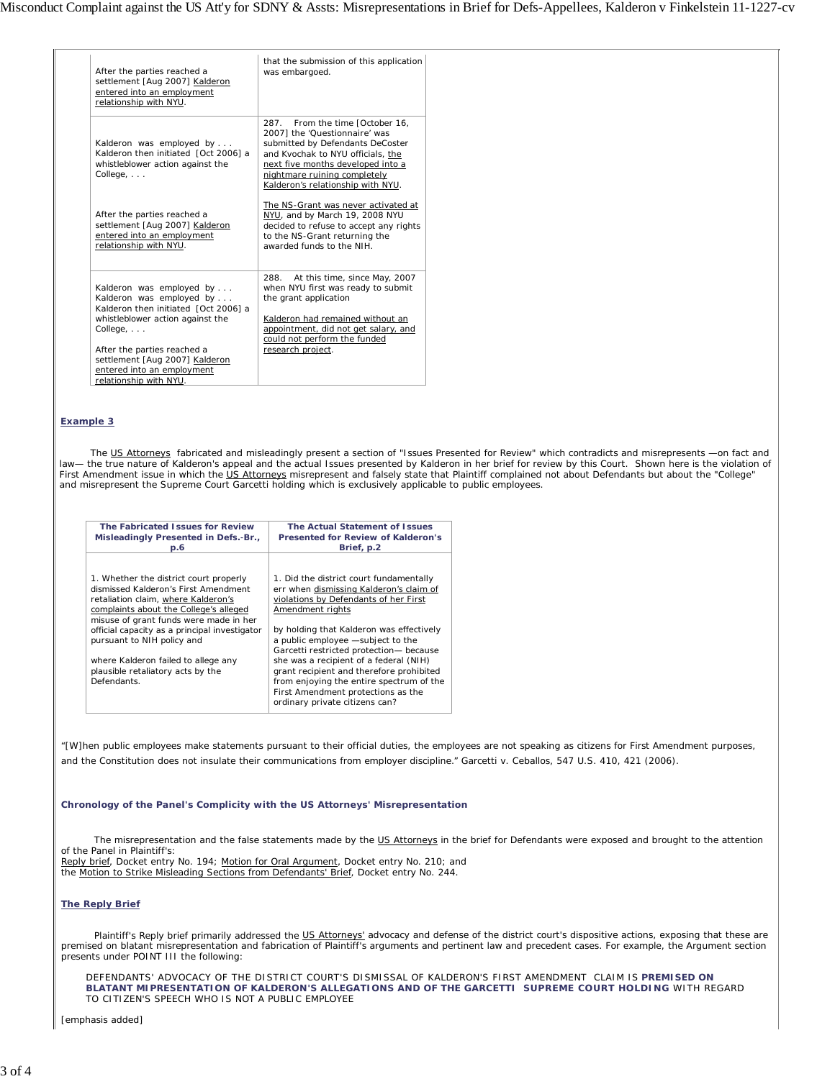| After the parties reached a<br>relationship with NYU. | settlement [Aug 2007] Kalderon<br>entered into an employment                                                                                                       | that the submission of this application<br>was embargoed.                                                                                                                                                                                           |
|-------------------------------------------------------|--------------------------------------------------------------------------------------------------------------------------------------------------------------------|-----------------------------------------------------------------------------------------------------------------------------------------------------------------------------------------------------------------------------------------------------|
| $Collecte, \ldots$                                    | Kalderon was employed by<br>Kalderon then initiated [Oct 2006] a<br>whistleblower action against the                                                               | 287. From the time [October 16,<br>20071 the 'Questionnaire' was<br>submitted by Defendants DeCoster<br>and Kvochak to NYU officials, the<br>next five months developed into a<br>nightmare ruining completely<br>Kalderon's relationship with NYU. |
| After the parties reached a<br>relationship with NYU. | settlement [Aug 2007] Kalderon<br>entered into an employment                                                                                                       | The NS-Grant was never activated at<br>NYU, and by March 19, 2008 NYU<br>decided to refuse to accept any rights<br>to the NS-Grant returning the<br>awarded funds to the NIH.                                                                       |
| $Collecte, \ldots$<br>After the parties reached a     | Kalderon was employed by<br>Kalderon was employed by<br>Kalderon then initiated [Oct 2006] a<br>whistleblower action against the<br>settlement [Aug 2007] Kalderon | 288.<br>At this time, since May, 2007<br>when NYU first was ready to submit<br>the grant application<br>Kalderon had remained without an<br>appointment, did not get salary, and<br>could not perform the funded<br>research project.               |
| relationship with NYU.                                | entered into an employment                                                                                                                                         |                                                                                                                                                                                                                                                     |

# *Example 3*

 The US Attorneys fabricated and misleadingly present a section of "Issues Presented for Review" which contradicts and misrepresents —on fact and law— the true nature of Kalderon's appeal and the actual Issues presented by Kalderon in her brief for review by this Court. Shown here is the violation of First Amendment issue in which the US Attorneys misrepresent and falsely state that Plaintiff complained not about Defendants but about the "College" and misrepresent the Supreme Court *Garcetti* holding which is exclusively applicable to public employees.

| The Fabricated Issues for Review                                                                                                                                                                                                                                                                                                                                                    | The Actual Statement of Issues                                                                                                                                                                                                                                                                                                                                                                                                                                                        |
|-------------------------------------------------------------------------------------------------------------------------------------------------------------------------------------------------------------------------------------------------------------------------------------------------------------------------------------------------------------------------------------|---------------------------------------------------------------------------------------------------------------------------------------------------------------------------------------------------------------------------------------------------------------------------------------------------------------------------------------------------------------------------------------------------------------------------------------------------------------------------------------|
| Misleadingly Presented in Defs.-Br.,                                                                                                                                                                                                                                                                                                                                                | Presented for Review of Kalderon's                                                                                                                                                                                                                                                                                                                                                                                                                                                    |
| D.6                                                                                                                                                                                                                                                                                                                                                                                 | Brief, p.2                                                                                                                                                                                                                                                                                                                                                                                                                                                                            |
| 1. Whether the district court properly<br>dismissed Kalderon's First Amendment<br>retaliation claim, where Kalderon's<br>complaints about the College's alleged<br>misuse of grant funds were made in her<br>official capacity as a principal investigator<br>pursuant to NIH policy and<br>where Kalderon failed to allege any<br>plausible retaliatory acts by the<br>Defendants. | 1. Did the district court fundamentally<br>err when dismissing Kalderon's claim of<br>violations by Defendants of her First<br>Amendment rights<br>by holding that Kalderon was effectively<br>a public employee -subject to the<br>Garcetti restricted protection- because<br>she was a recipient of a federal (NIH)<br>grant recipient and therefore prohibited<br>from enjoying the entire spectrum of the<br>First Amendment protections as the<br>ordinary private citizens can? |

"[W]hen public employees make statements pursuant to their official duties, the employees are not speaking as citizens for First Amendment purposes, and the Constitution does not insulate their communications from employer discipline." *Garcetti v. Ceballos*, 547 U.S. 410, 421 (2006).

### **Chronology of the Panel's Complicity with the US Attorneys' Misrepresentation**

 The misrepresentation and the false statements made by the US Attorneys in the brief for Defendants were exposed and brought to the attention of the Panel in Plaintiff's:

Reply brief, Docket entry No. 194; Motion for Oral Argument, Docket entry No. 210; and the Motion to Strike Misleading Sections from Defendants' Brief, Docket entry No. 244.

### *The Reply Brief*

Plaintiff's Reply brief primarily addressed the US Attorneys' advocacy and defense of the district court's dispositive actions, exposing that these are premised on blatant misrepresentation and fabrication of Plaintiff's arguments and pertinent law and precedent cases. For example, the Argument section presents under POINT III the following:

DEFENDANTS' ADVOCACY OF THE DISTRICT COURT'S DISMISSAL OF KALDERON'S FIRST AMENDMENT CLAIM IS *PREMISED ON BLATANT MIPRESENTATION OF KALDERON'S ALLEGATIONS AND OF THE GARCETTI SUPREME COURT HOLDING* WITH REGARD TO CITIZEN'S SPEECH WHO IS NOT A PUBLIC EMPLOYEE